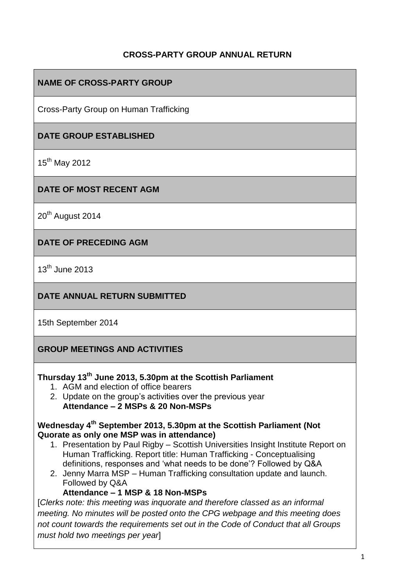# **CROSS-PARTY GROUP ANNUAL RETURN**

# **NAME OF CROSS-PARTY GROUP**

Cross-Party Group on Human Trafficking

# **DATE GROUP ESTABLISHED**

15<sup>th</sup> May 2012

# **DATE OF MOST RECENT AGM**

20<sup>th</sup> August 2014

#### **DATE OF PRECEDING AGM**

 $13<sup>th</sup>$  June 2013

### **DATE ANNUAL RETURN SUBMITTED**

15th September 2014

#### **GROUP MEETINGS AND ACTIVITIES**

### **Thursday 13th June 2013, 5.30pm at the Scottish Parliament**

- 1. AGM and election of office bearers
- 2. Update on the group's activities over the previous year **Attendance – 2 MSPs & 20 Non-MSPs**

#### **Wednesday 4th September 2013, 5.30pm at the Scottish Parliament (Not Quorate as only one MSP was in attendance)**

- 1. Presentation by Paul Rigby Scottish Universities Insight Institute Report on Human Trafficking. Report title: Human Trafficking - Conceptualising definitions, responses and 'what needs to be done'? Followed by Q&A
- 2. Jenny Marra MSP Human Trafficking consultation update and launch. Followed by Q&A

#### **Attendance – 1 MSP & 18 Non-MSPs**

[*Clerks note: this meeting was inquorate and therefore classed as an informal meeting. No minutes will be posted onto the CPG webpage and this meeting does not count towards the requirements set out in the Code of Conduct that all Groups must hold two meetings per year*]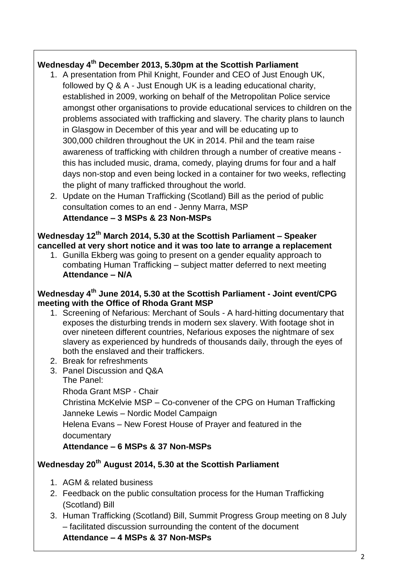# **Wednesday 4th December 2013, 5.30pm at the Scottish Parliament**

- 1. A presentation from Phil Knight, Founder and CEO of Just Enough UK, followed by Q & A - Just Enough UK is a leading educational charity, established in 2009, working on behalf of the Metropolitan Police service amongst other organisations to provide educational services to children on the problems associated with trafficking and slavery. The charity plans to launch in Glasgow in December of this year and will be educating up to 300,000 children throughout the UK in 2014. Phil and the team raise awareness of trafficking with children through a number of creative means this has included music, drama, comedy, playing drums for four and a half days non-stop and even being locked in a container for two weeks, reflecting the plight of many trafficked throughout the world.
- 2. Update on the Human Trafficking (Scotland) Bill as the period of public consultation comes to an end - Jenny Marra, MSP

#### **Attendance – 3 MSPs & 23 Non-MSPs**

**Wednesday 12th March 2014, 5.30 at the Scottish Parliament – Speaker cancelled at very short notice and it was too late to arrange a replacement**

1. Gunilla Ekberg was going to present on a gender equality approach to combating Human Trafficking – subject matter deferred to next meeting **Attendance – N/A**

# **Wednesday 4th June 2014, 5.30 at the Scottish Parliament - Joint event/CPG meeting with the Office of Rhoda Grant MSP**

- 1. Screening of Nefarious: Merchant of Souls A hard-hitting documentary that exposes the disturbing trends in modern sex slavery. With footage shot in over nineteen different countries, Nefarious exposes the nightmare of sex slavery as experienced by hundreds of thousands daily, through the eyes of both the enslaved and their traffickers.
- 2. Break for refreshments
- 3. Panel Discussion and Q&A The Panel: Rhoda Grant MSP - Chair Christina McKelvie MSP – Co-convener of the CPG on Human Trafficking Janneke Lewis – Nordic Model Campaign Helena Evans – New Forest House of Prayer and featured in the documentary

# **Attendance – 6 MSPs & 37 Non-MSPs**

# **Wednesday 20th August 2014, 5.30 at the Scottish Parliament**

- 1. AGM & related business
- 2. Feedback on the public consultation process for the Human Trafficking (Scotland) Bill
- 3. Human Trafficking (Scotland) Bill, Summit Progress Group meeting on 8 July – facilitated discussion surrounding the content of the document **Attendance – 4 MSPs & 37 Non-MSPs**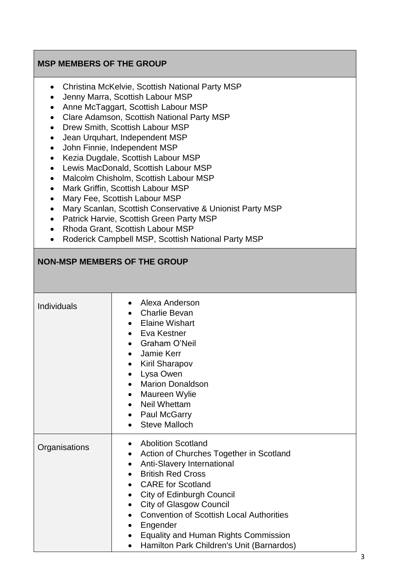# **MSP MEMBERS OF THE GROUP**

- Christina McKelvie, Scottish National Party MSP
- Jenny Marra, Scottish Labour MSP
- Anne McTaggart, Scottish Labour MSP
- Clare Adamson, Scottish National Party MSP
- Drew Smith, Scottish Labour MSP
- Jean Urquhart, Independent MSP
- John Finnie, Independent MSP
- Kezia Dugdale, Scottish Labour MSP
- Lewis MacDonald, Scottish Labour MSP
- Malcolm Chisholm, Scottish Labour MSP
- Mark Griffin, Scottish Labour MSP
- Mary Fee, Scottish Labour MSP
- Mary Scanlan, Scottish Conservative & Unionist Party MSP
- Patrick Harvie, Scottish Green Party MSP
- Rhoda Grant, Scottish Labour MSP
- Roderick Campbell MSP, Scottish National Party MSP

#### **NON-MSP MEMBERS OF THE GROUP**

| Individuals   | Alexa Anderson<br><b>Charlie Bevan</b><br>• Elaine Wishart<br>• Eva Kestner<br>• Graham O'Neil<br>Jamie Kerr<br>$\bullet$<br>• Kiril Sharapov<br>Lysa Owen<br>$\bullet$<br><b>Marion Donaldson</b><br>Maureen Wylie<br>$\bullet$<br>• Neil Whettam<br>• Paul McGarry<br><b>Steve Malloch</b><br>$\bullet$                                                                                                                                                                                                                |
|---------------|--------------------------------------------------------------------------------------------------------------------------------------------------------------------------------------------------------------------------------------------------------------------------------------------------------------------------------------------------------------------------------------------------------------------------------------------------------------------------------------------------------------------------|
| Organisations | <b>Abolition Scotland</b><br>$\bullet$<br>Action of Churches Together in Scotland<br>$\bullet$<br>Anti-Slavery International<br>$\bullet$<br><b>British Red Cross</b><br>$\bullet$<br>• CARE for Scotland<br><b>City of Edinburgh Council</b><br>$\bullet$<br><b>City of Glasgow Council</b><br>$\bullet$<br><b>Convention of Scottish Local Authorities</b><br>$\bullet$<br>Engender<br>$\bullet$<br><b>Equality and Human Rights Commission</b><br>$\bullet$<br>Hamilton Park Children's Unit (Barnardos)<br>$\bullet$ |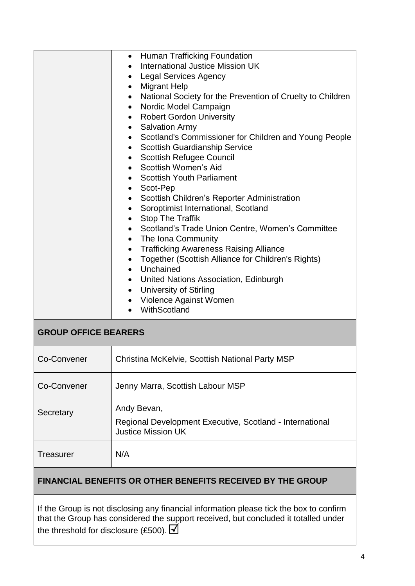|                                                                   | Human Trafficking Foundation<br>$\bullet$<br>International Justice Mission UK<br><b>Legal Services Agency</b><br><b>Migrant Help</b><br>$\bullet$<br>National Society for the Prevention of Cruelty to Children<br>$\bullet$<br>Nordic Model Campaign<br>$\bullet$<br><b>Robert Gordon University</b><br><b>Salvation Army</b><br>$\bullet$<br>Scotland's Commissioner for Children and Young People<br>$\bullet$<br><b>Scottish Guardianship Service</b><br>$\bullet$<br><b>Scottish Refugee Council</b><br>$\bullet$<br>Scottish Women's Aid<br>$\bullet$<br><b>Scottish Youth Parliament</b><br>Scot-Pep<br>$\bullet$<br>Scottish Children's Reporter Administration<br>$\bullet$<br>Soroptimist International, Scotland<br>$\bullet$<br><b>Stop The Traffik</b><br>$\bullet$<br>• Scotland's Trade Union Centre, Women's Committee<br>The Iona Community<br>$\bullet$<br><b>Trafficking Awareness Raising Alliance</b><br>$\bullet$<br>Together (Scottish Alliance for Children's Rights)<br>$\bullet$<br>• Unchained<br>• United Nations Association, Edinburgh<br>• University of Stirling<br>• Violence Against Women<br>WithScotland |  |
|-------------------------------------------------------------------|----------------------------------------------------------------------------------------------------------------------------------------------------------------------------------------------------------------------------------------------------------------------------------------------------------------------------------------------------------------------------------------------------------------------------------------------------------------------------------------------------------------------------------------------------------------------------------------------------------------------------------------------------------------------------------------------------------------------------------------------------------------------------------------------------------------------------------------------------------------------------------------------------------------------------------------------------------------------------------------------------------------------------------------------------------------------------------------------------------------------------------------------|--|
| <b>GROUP OFFICE BEARERS</b>                                       |                                                                                                                                                                                                                                                                                                                                                                                                                                                                                                                                                                                                                                                                                                                                                                                                                                                                                                                                                                                                                                                                                                                                              |  |
| Co-Convener                                                       | Christina McKelvie, Scottish National Party MSP                                                                                                                                                                                                                                                                                                                                                                                                                                                                                                                                                                                                                                                                                                                                                                                                                                                                                                                                                                                                                                                                                              |  |
| Co-Convener                                                       | Jenny Marra, Scottish Labour MSP                                                                                                                                                                                                                                                                                                                                                                                                                                                                                                                                                                                                                                                                                                                                                                                                                                                                                                                                                                                                                                                                                                             |  |
| Secretary                                                         | Andy Bevan,<br>Regional Development Executive, Scotland - International<br><b>Justice Mission UK</b>                                                                                                                                                                                                                                                                                                                                                                                                                                                                                                                                                                                                                                                                                                                                                                                                                                                                                                                                                                                                                                         |  |
| Treasurer                                                         | N/A                                                                                                                                                                                                                                                                                                                                                                                                                                                                                                                                                                                                                                                                                                                                                                                                                                                                                                                                                                                                                                                                                                                                          |  |
| <b>FINANCIAL BENEFITS OR OTHER BENEFITS RECEIVED BY THE GROUP</b> |                                                                                                                                                                                                                                                                                                                                                                                                                                                                                                                                                                                                                                                                                                                                                                                                                                                                                                                                                                                                                                                                                                                                              |  |
|                                                                   |                                                                                                                                                                                                                                                                                                                                                                                                                                                                                                                                                                                                                                                                                                                                                                                                                                                                                                                                                                                                                                                                                                                                              |  |

If the Group is not disclosing any financial information please tick the box to confirm that the Group has considered the support received, but concluded it totalled under the threshold for disclosure (£500).